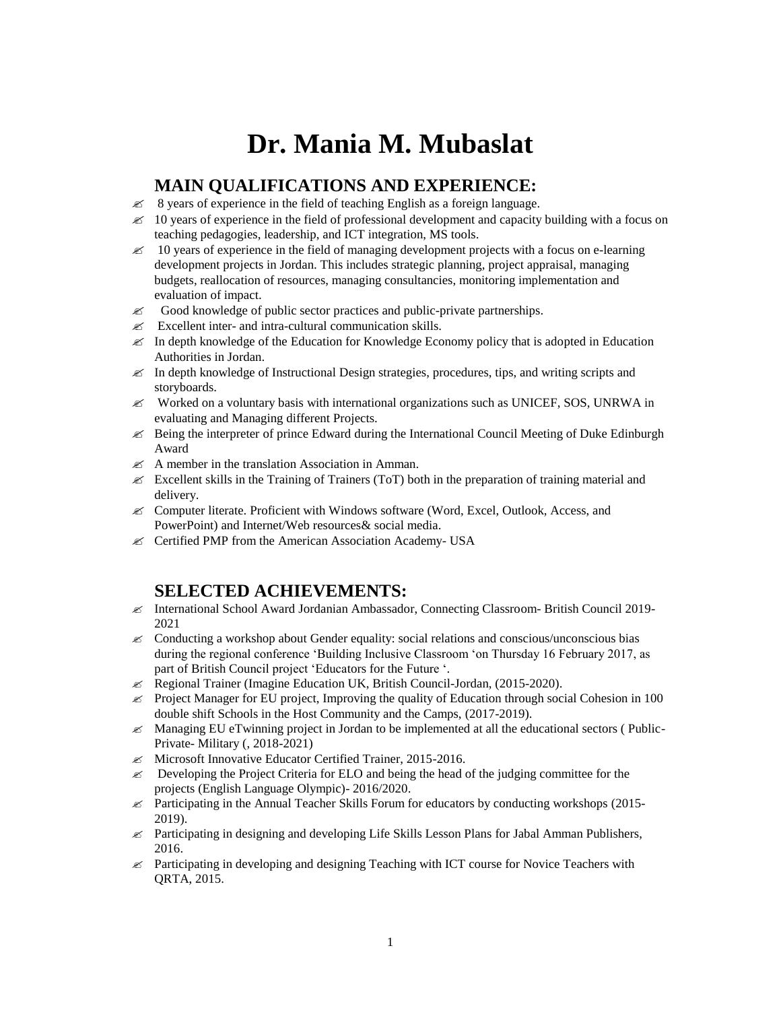# **Dr. Mania M. Mubaslat**

## **MAIN QUALIFICATIONS AND EXPERIENCE:**

- $\mathscr{\mathscr{E}}$  8 years of experience in the field of teaching English as a foreign language.
- $\approx$  10 years of experience in the field of professional development and capacity building with a focus on teaching pedagogies, leadership, and ICT integration, MS tools.
- $\approx$  10 years of experience in the field of managing development projects with a focus on e-learning development projects in Jordan. This includes strategic planning, project appraisal, managing budgets, reallocation of resources, managing consultancies, monitoring implementation and evaluation of impact.
- $\mathscr{\mathscr{E}}$  Good knowledge of public sector practices and public-private partnerships.
- $\mathscr{L}$  Excellent inter- and intra-cultural communication skills.
- $\mathscr{\mathscr{L}}$  In depth knowledge of the Education for Knowledge Economy policy that is adopted in Education Authorities in Jordan.
- $\mathscr{\mathscr{L}}$  In depth knowledge of Instructional Design strategies, procedures, tips, and writing scripts and storyboards.
- $\mathscr{\mathscr{L}}$  Worked on a voluntary basis with international organizations such as UNICEF, SOS, UNRWA in evaluating and Managing different Projects.
- $\mathscr{\mathscr{L}}$  Being the interpreter of prince Edward during the International Council Meeting of Duke Edinburgh Award
- $\mathscr{A}$  A member in the translation Association in Amman.
- Excellent skills in the Training of Trainers (ToT) both in the preparation of training material and delivery.
- Computer literate. Proficient with Windows software (Word, Excel, Outlook, Access, and PowerPoint) and Internet/Web resources& social media.
- Certified PMP from the American Association Academy- USA

## **SELECTED ACHIEVEMENTS:**

- International School Award Jordanian Ambassador, Connecting Classroom- British Council 2019- 2021
- $\&\leq$  Conducting a workshop about Gender equality: social relations and conscious/unconscious bias during the regional conference 'Building Inclusive Classroom 'on Thursday 16 February 2017, as part of British Council project 'Educators for the Future '.
- $\ll$  Regional Trainer (Imagine Education UK, British Council-Jordan, (2015-2020).
- $\approx$  Project Manager for EU project, Improving the quality of Education through social Cohesion in 100 double shift Schools in the Host Community and the Camps, (2017-2019).
- $\&\times$  Managing EU eTwinning project in Jordan to be implemented at all the educational sectors (Public-Private- Military (, 2018-2021)
- Microsoft Innovative Educator Certified Trainer, 2015-2016.
- $\&\leq$  Developing the Project Criteria for ELO and being the head of the judging committee for the projects (English Language Olympic)- 2016/2020.
- $\approx$  Participating in the Annual Teacher Skills Forum for educators by conducting workshops (2015-2019).
- $\ll$  Participating in designing and developing Life Skills Lesson Plans for Jabal Amman Publishers, 2016.
- $\approx$  Participating in developing and designing Teaching with ICT course for Novice Teachers with QRTA, 2015.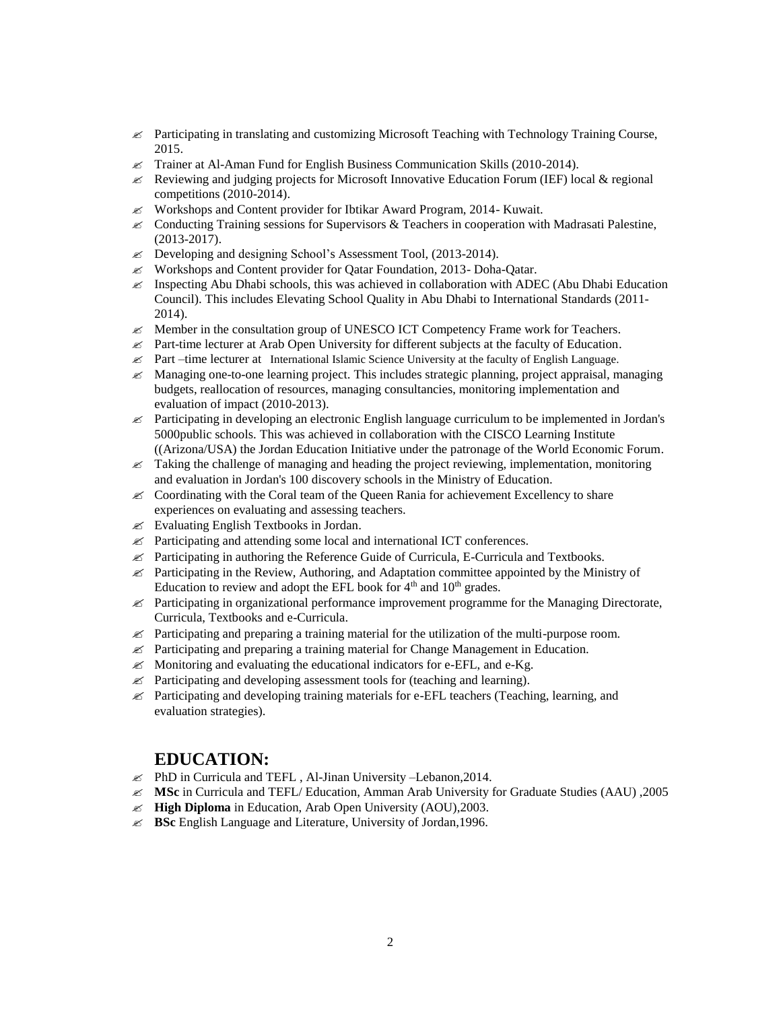- $\approx$  Participating in translating and customizing Microsoft Teaching with Technology Training Course, 2015.
- $\ll$  Trainer at Al-Aman Fund for English Business Communication Skills (2010-2014).
- Reviewing and judging projects for Microsoft Innovative Education Forum (IEF) local & regional competitions (2010-2014).
- $\ll$  Workshops and Content provider for Ibtikar Award Program, 2014- Kuwait.
- $\&$  Conducting Training sessions for Supervisors  $\&$  Teachers in cooperation with Madrasati Palestine, (2013-2017).
- $\&\infty$  Developing and designing School's Assessment Tool, (2013-2014).
- $\ll$  Workshops and Content provider for Oatar Foundation, 2013- Doha-Oatar.
- $\approx$  Inspecting Abu Dhabi schools, this was achieved in collaboration with ADEC (Abu Dhabi Education Council). This includes Elevating School Quality in Abu Dhabi to International Standards (2011- 2014).
- $\mathscr{\mathscr{A}}$  Member in the consultation group of UNESCO ICT Competency Frame work for Teachers.
- $\approx$  Part-time lecturer at Arab Open University for different subjects at the faculty of Education.
- $\&$  Part –time lecturer at International Islamic Science University at the faculty of English Language.
- Managing one-to-one learning project. This includes strategic planning, project appraisal, managing budgets, reallocation of resources, managing consultancies, monitoring implementation and evaluation of impact (2010-2013).
- $\approx$  Participating in developing an electronic English language curriculum to be implemented in Jordan's 5000public schools. This was achieved in collaboration with the CISCO Learning Institute ((Arizona/USA) the Jordan Education Initiative under the patronage of the World Economic Forum.
- $\mathscr{\mathscr{L}}$  Taking the challenge of managing and heading the project reviewing, implementation, monitoring and evaluation in Jordan's 100 discovery schools in the Ministry of Education.
- Coordinating with the Coral team of the Queen Rania for achievement Excellency to share experiences on evaluating and assessing teachers.
- $\mathscr{L}$  Evaluating English Textbooks in Jordan.
- $\mathcal{L}$  Participating and attending some local and international ICT conferences.
- $\ll$  Participating in authoring the Reference Guide of Curricula, E-Curricula and Textbooks.
- $\mathscr{\mathscr{L}}$  Participating in the Review, Authoring, and Adaptation committee appointed by the Ministry of Education to review and adopt the EFL book for  $4<sup>th</sup>$  and  $10<sup>th</sup>$  grades.
- $\mathscr Z$  Participating in organizational performance improvement programme for the Managing Directorate, Curricula, Textbooks and e-Curricula.
- $\mathscr{\mathscr{L}}$  Participating and preparing a training material for the utilization of the multi-purpose room.
- $\mathscr{\mathscr{L}}$  Participating and preparing a training material for Change Management in Education.
- $\mathscr{\mathscr{L}}$  Monitoring and evaluating the educational indicators for e-EFL, and e-Kg.
- $\mathscr{\mathscr{L}}$  Participating and developing assessment tools for (teaching and learning).
- $\&$  Participating and developing training materials for e-EFL teachers (Teaching, learning, and evaluation strategies).

### **EDUCATION:**

- $\mathscr{L}$  PhD in Curricula and TEFL, Al-Jinan University –Lebanon, 2014.
- **MSc** in Curricula and TEFL/ Education, Amman Arab University for Graduate Studies (AAU) ,2005
- **High Diploma** in Education, Arab Open University (AOU),2003.
- **BSc** English Language and Literature, University of Jordan,1996.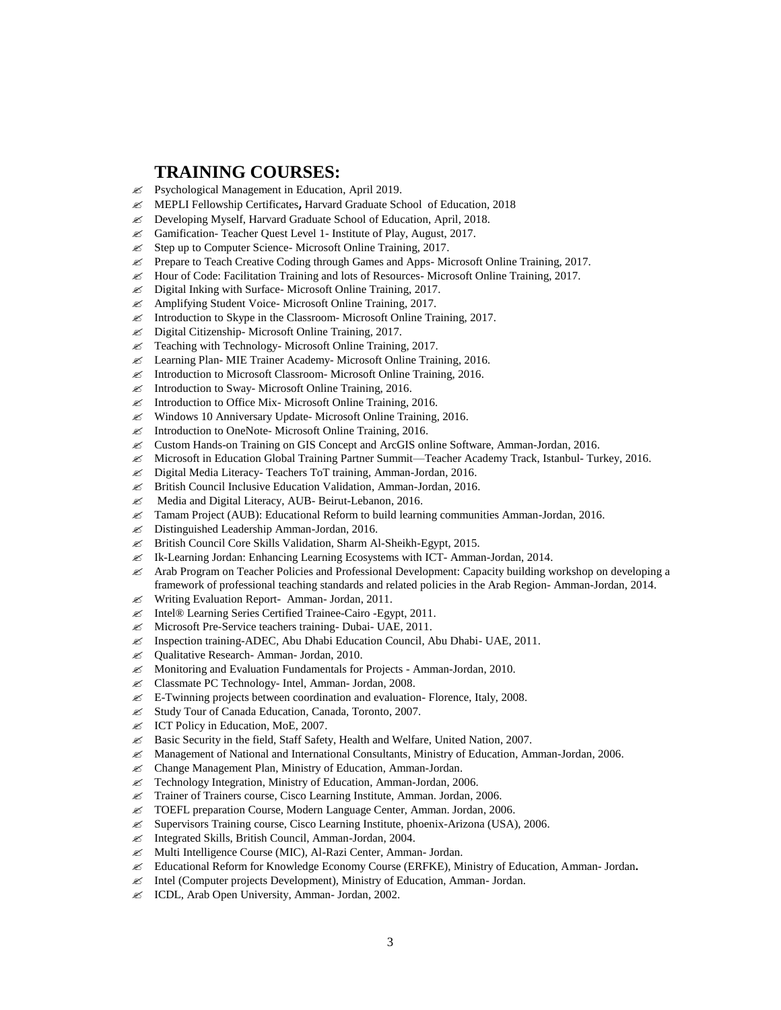#### **TRAINING COURSES:**

- Psychological Management in Education, April 2019.
- MEPLI Fellowship Certificates**,** Harvard Graduate School of Education, 2018
- Developing Myself, Harvard Graduate School of Education, April, 2018.
- Gamification- Teacher Quest Level 1- Institute of Play, August, 2017.
- $\mathcal{Z}$  Step up to Computer Science- Microsoft Online Training, 2017.
- $\ll$  Prepare to Teach Creative Coding through Games and Apps-Microsoft Online Training, 2017.
- $\ll$  Hour of Code: Facilitation Training and lots of Resources-Microsoft Online Training, 2017.
- Digital Inking with Surface- Microsoft Online Training, 2017.
- Amplifying Student Voice- Microsoft Online Training, 2017.
- $\mathscr{L}$  Introduction to Skype in the Classroom-Microsoft Online Training, 2017.
- Digital Citizenship- Microsoft Online Training, 2017.
- $\mathscr{L}$  Teaching with Technology-Microsoft Online Training, 2017.
- **EX** Learning Plan- MIE Trainer Academy- Microsoft Online Training, 2016.
- $\mathscr{L}$  Introduction to Microsoft Classroom-Microsoft Online Training, 2016.
- $\mathscr{L}$  Introduction to Sway-Microsoft Online Training, 2016.
- $\mathcal{L}$  Introduction to Office Mix-Microsoft Online Training, 2016.
- $\mathscr{L}$  Windows 10 Anniversary Update-Microsoft Online Training, 2016.
- **EX** Introduction to OneNote-Microsoft Online Training, 2016.
- Custom Hands-on Training on GIS Concept and ArcGIS online Software, Amman-Jordan, 2016.
- Microsoft in Education Global Training Partner Summit—Teacher Academy Track, Istanbul- Turkey, 2016.
- Digital Media Literacy- Teachers ToT training, Amman-Jordan, 2016.
- British Council Inclusive Education Validation, Amman-Jordan, 2016.
- **EX** Media and Digital Literacy, AUB- Beirut-Lebanon, 2016.
- $\ll$  Tamam Project (AUB): Educational Reform to build learning communities Amman-Jordan, 2016.
- $\mathscr{L}$  Distinguished Leadership Amman-Jordan, 2016.
- British Council Core Skills Validation, Sharm Al-Sheikh-Egypt, 2015.
- Ik-Learning Jordan: Enhancing Learning Ecosystems with ICT- Amman-Jordan, 2014.
- $\&$  Arab Program on Teacher Policies and Professional Development: Capacity building workshop on developing a framework of professional teaching standards and related policies in the Arab Region- Amman-Jordan, 2014.
- **EX** Writing Evaluation Report- Amman- Jordan, 2011.
- Intel® Learning Series Certified Trainee-Cairo -Egypt, 2011.
- Microsoft Pre-Service teachers training- Dubai- UAE, 2011.
- Inspection training-ADEC, Abu Dhabi Education Council, Abu Dhabi- UAE, 2011.
- Qualitative Research- Amman- Jordan, 2010.
- Monitoring and Evaluation Fundamentals for Projects Amman-Jordan, 2010.
- Classmate PC Technology- Intel, Amman- Jordan, 2008.
- $\mathbb{Z}$  E-Twinning projects between coordination and evaluation- Florence, Italy, 2008.
- Study Tour of Canada Education, Canada, Toronto, 2007.
- $\mathscr{L}$  ICT Policy in Education, MoE, 2007.
- Basic Security in the field, Staff Safety, Health and Welfare, United Nation, 2007.
- Management of National and International Consultants, Ministry of Education, Amman-Jordan, 2006.
- Change Management Plan, Ministry of Education, Amman-Jordan.
- **EX** Technology Integration, Ministry of Education, Amman-Jordan, 2006.
- Trainer of Trainers course, Cisco Learning Institute, Amman. Jordan, 2006.
- TOEFL preparation Course, Modern Language Center, Amman. Jordan, 2006.
- $\mathscr{\mathscr{L}}$  Supervisors Training course, Cisco Learning Institute, phoenix-Arizona (USA), 2006.
- $\mathscr{L}$  Integrated Skills, British Council, Amman-Jordan, 2004.
- Multi Intelligence Course (MIC), Al-Razi Center, Amman- Jordan.
- Educational Reform for Knowledge Economy Course (ERFKE), Ministry of Education, Amman- Jordan**.**
- Intel (Computer projects Development), Ministry of Education, Amman- Jordan.
- **EXECOL, Arab Open University, Amman- Jordan, 2002.**